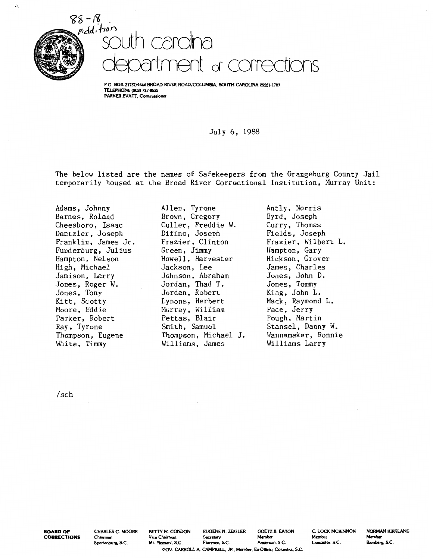

À.



P.O. BOX 21787/4444 BROAD RIVER ROAD/COLUMBIA, SOUTH CAROLINA 29221-1787 TELEPHONE (803) 737·8555 PARKER EVATT, Commission

July 6, 1988

The below listed are the names of Safekeepers from the Orangeburg County Jail temporarily housed at the Broad River Correctional Institution, Murray Unit:

Adams, Johnny Barnes, Roland Cheesboro, Isaac Dantzler, Joseph Franklin, James Jr. Funderburg, Julius Hampton, Nelson High, Michael Jamison, Larry Jones, Roger W. Jones, Tony Kitt, Scotty Moore, Eddie Parker, Robert Ray, Tyrone Thompson, Eugene White, Timmy

Allen, Tyrone Brown, Gregory Culler, Freddie W. Difino, Joseph Frazier, Clinton Green, Jimmy Howell, Harvester Jackson, Lee Johnson, Abraham Jordan, Thad T. Jordan, Robert Lynons, Herbert Murray, William Pettas, Blair Smith, Samuel Thompson, Michael J. Williams, James

Antly, Norris Byrd, Joseph Curry, Thomas Fields, Joseph Frazier, Wilbert L. Hampton, Gary Hickson, Grover James, Charles Jones, John D. Jones, Tommy King, John L. Mack, Raymond L. Pace, Jerry Pough, Martin Stansel, Danny W. Wannamaker, Ronnie Williams Larry

/sch

**BOARD OF CORRECTIONS**  CHARLES C. MOORE Chairman Spartanburg, S.C.

BETTY M. CONDON EUGENE N. ZEIGLER GOETZ B. EATON C. LOCK MCKINNON Vice Chairman Secretary Member Member Mt. Pleasant, S.C. Florence, S.C. Anderson, S.C. Lancaster, S.C. GOV. CARROLL A. CAMPBELL, JR., Member, Ex-Officio, Columbia, S.C.

NORMAN KIRKLAND Member Bamberg, S.C.